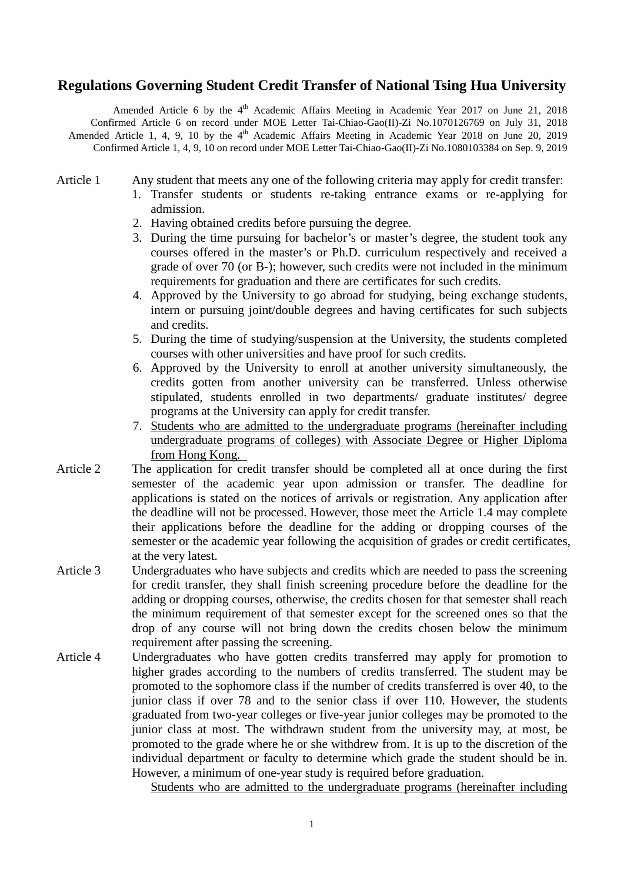## **Regulations Governing Student Credit Transfer of National Tsing Hua University**

Amended Article 6 by the 4<sup>th</sup> Academic Affairs Meeting in Academic Year 2017 on June 21, 2018 Confirmed Article 6 on record under MOE Letter Tai-Chiao-Gao(II)-Zi No.1070126769 on July 31, 2018 Amended Article 1, 4, 9, 10 by the  $4<sup>th</sup>$  Academic Affairs Meeting in Academic Year 2018 on June 20, 2019 Confirmed Article 1, 4, 9, 10 on record under MOE Letter Tai-Chiao-Gao(II)-Zi No.1080103384 on Sep. 9, 2019

- Article 1 Any student that meets any one of the following criteria may apply for credit transfer:
	- 1. Transfer students or students re-taking entrance exams or re-applying for admission.
	- 2. Having obtained credits before pursuing the degree.
	- 3. During the time pursuing for bachelor's or master's degree, the student took any courses offered in the master's or Ph.D. curriculum respectively and received a grade of over 70 (or B-); however, such credits were not included in the minimum requirements for graduation and there are certificates for such credits.
	- 4. Approved by the University to go abroad for studying, being exchange students, intern or pursuing joint/double degrees and having certificates for such subjects and credits.
	- 5. During the time of studying/suspension at the University, the students completed courses with other universities and have proof for such credits.
	- 6. Approved by the University to enroll at another university simultaneously, the credits gotten from another university can be transferred. Unless otherwise stipulated, students enrolled in two departments/ graduate institutes/ degree programs at the University can apply for credit transfer.
	- 7. Students who are admitted to the undergraduate programs (hereinafter including undergraduate programs of colleges) with Associate Degree or Higher Diploma from Hong Kong.
- Article 2 The application for credit transfer should be completed all at once during the first semester of the academic year upon admission or transfer. The deadline for applications is stated on the notices of arrivals or registration. Any application after the deadline will not be processed. However, those meet the Article 1.4 may complete their applications before the deadline for the adding or dropping courses of the semester or the academic year following the acquisition of grades or credit certificates, at the very latest.
- Article 3 Undergraduates who have subjects and credits which are needed to pass the screening for credit transfer, they shall finish screening procedure before the deadline for the adding or dropping courses, otherwise, the credits chosen for that semester shall reach the minimum requirement of that semester except for the screened ones so that the drop of any course will not bring down the credits chosen below the minimum requirement after passing the screening.
- Article 4 Undergraduates who have gotten credits transferred may apply for promotion to higher grades according to the numbers of credits transferred. The student may be promoted to the sophomore class if the number of credits transferred is over 40, to the junior class if over 78 and to the senior class if over 110. However, the students graduated from two-year colleges or five-year junior colleges may be promoted to the junior class at most. The withdrawn student from the university may, at most, be promoted to the grade where he or she withdrew from. It is up to the discretion of the individual department or faculty to determine which grade the student should be in. However, a minimum of one-year study is required before graduation.

Students who are admitted to the undergraduate programs (hereinafter including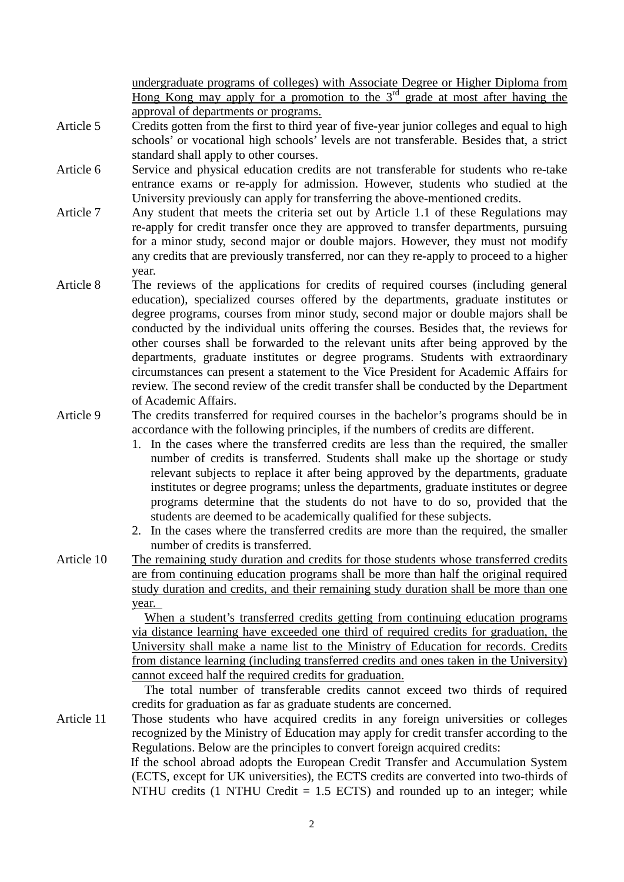undergraduate programs of colleges) with Associate Degree or Higher Diploma from Hong Kong may apply for a promotion to the  $3<sup>rd</sup>$  grade at most after having the approval of departments or programs.

- Article 5 Credits gotten from the first to third year of five-year junior colleges and equal to high schools' or vocational high schools' levels are not transferable. Besides that, a strict standard shall apply to other courses.
- Article 6 Service and physical education credits are not transferable for students who re-take entrance exams or re-apply for admission. However, students who studied at the University previously can apply for transferring the above-mentioned credits.
- Article 7 Any student that meets the criteria set out by Article 1.1 of these Regulations may re-apply for credit transfer once they are approved to transfer departments, pursuing for a minor study, second major or double majors. However, they must not modify any credits that are previously transferred, nor can they re-apply to proceed to a higher year.
- Article 8 The reviews of the applications for credits of required courses (including general education), specialized courses offered by the departments, graduate institutes or degree programs, courses from minor study, second major or double majors shall be conducted by the individual units offering the courses. Besides that, the reviews for other courses shall be forwarded to the relevant units after being approved by the departments, graduate institutes or degree programs. Students with extraordinary circumstances can present a statement to the Vice President for Academic Affairs for review. The second review of the credit transfer shall be conducted by the Department of Academic Affairs.
- Article 9 The credits transferred for required courses in the bachelor's programs should be in accordance with the following principles, if the numbers of credits are different.
	- 1. In the cases where the transferred credits are less than the required, the smaller number of credits is transferred. Students shall make up the shortage or study relevant subjects to replace it after being approved by the departments, graduate institutes or degree programs; unless the departments, graduate institutes or degree programs determine that the students do not have to do so, provided that the students are deemed to be academically qualified for these subjects.
	- 2. In the cases where the transferred credits are more than the required, the smaller number of credits is transferred.
- Article 10 The remaining study duration and credits for those students whose transferred credits are from continuing education programs shall be more than half the original required study duration and credits, and their remaining study duration shall be more than one year.

When a student's transferred credits getting from continuing education programs via distance learning have exceeded one third of required credits for graduation, the University shall make a name list to the Ministry of Education for records. Credits from distance learning (including transferred credits and ones taken in the University) cannot exceed half the required credits for graduation.

The total number of transferable credits cannot exceed two thirds of required credits for graduation as far as graduate students are concerned.

Article 11 Those students who have acquired credits in any foreign universities or colleges recognized by the Ministry of Education may apply for credit transfer according to the Regulations. Below are the principles to convert foreign acquired credits: If the school abroad adopts the European Credit Transfer and Accumulation System

(ECTS, except for UK universities), the ECTS credits are converted into two-thirds of NTHU credits (1 NTHU Credit  $= 1.5$  ECTS) and rounded up to an integer; while